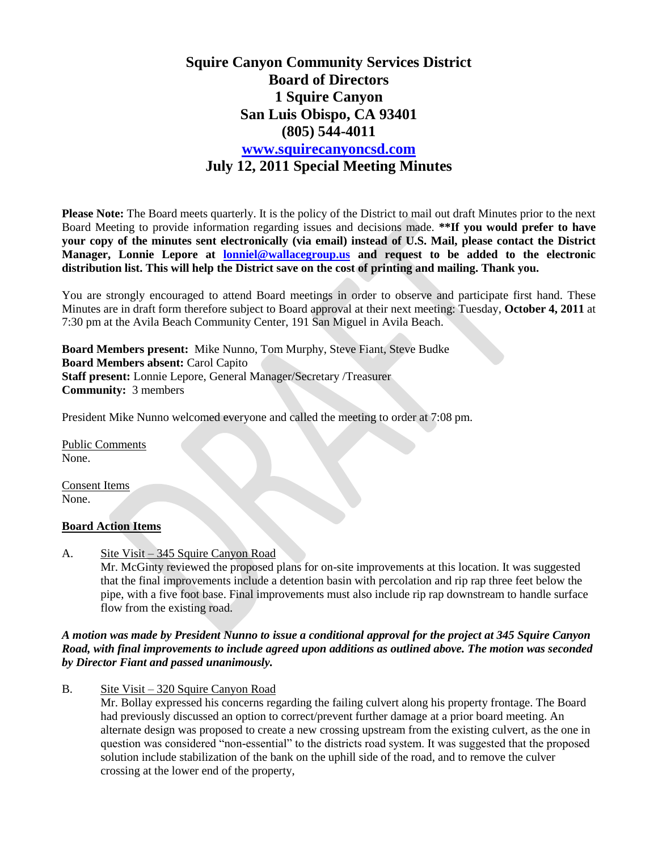## **Squire Canyon Community Services District Board of Directors 1 Squire Canyon San Luis Obispo, CA 93401 (805) 544-4011 [www.squirecanyoncsd.com](http://www.squirecanyoncsd.com/) July 12, 2011 Special Meeting Minutes**

**Please Note:** The Board meets quarterly. It is the policy of the District to mail out draft Minutes prior to the next Board Meeting to provide information regarding issues and decisions made. **\*\*If you would prefer to have your copy of the minutes sent electronically (via email) instead of U.S. Mail, please contact the District Manager, Lonnie Lepore at [lonniel@wallacegroup.us](mailto:lonniel@wallacegroup.us) and request to be added to the electronic distribution list. This will help the District save on the cost of printing and mailing. Thank you.**

You are strongly encouraged to attend Board meetings in order to observe and participate first hand. These Minutes are in draft form therefore subject to Board approval at their next meeting: Tuesday, **October 4, 2011** at 7:30 pm at the Avila Beach Community Center, 191 San Miguel in Avila Beach.

**Board Members present:** Mike Nunno, Tom Murphy, Steve Fiant, Steve Budke **Board Members absent:** Carol Capito **Staff present:** Lonnie Lepore, General Manager/Secretary /Treasurer **Community:** 3 members

President Mike Nunno welcomed everyone and called the meeting to order at 7:08 pm.

Public Comments None.

Consent Items None.

## **Board Action Items**

A. Site Visit – 345 Squire Canyon Road

Mr. McGinty reviewed the proposed plans for on-site improvements at this location. It was suggested that the final improvements include a detention basin with percolation and rip rap three feet below the pipe, with a five foot base. Final improvements must also include rip rap downstream to handle surface flow from the existing road.

## *A motion was made by President Nunno to issue a conditional approval for the project at 345 Squire Canyon Road, with final improvements to include agreed upon additions as outlined above. The motion was seconded by Director Fiant and passed unanimously.*

B. Site Visit – 320 Squire Canyon Road

Mr. Bollay expressed his concerns regarding the failing culvert along his property frontage. The Board had previously discussed an option to correct/prevent further damage at a prior board meeting. An alternate design was proposed to create a new crossing upstream from the existing culvert, as the one in question was considered "non-essential" to the districts road system. It was suggested that the proposed solution include stabilization of the bank on the uphill side of the road, and to remove the culver crossing at the lower end of the property,